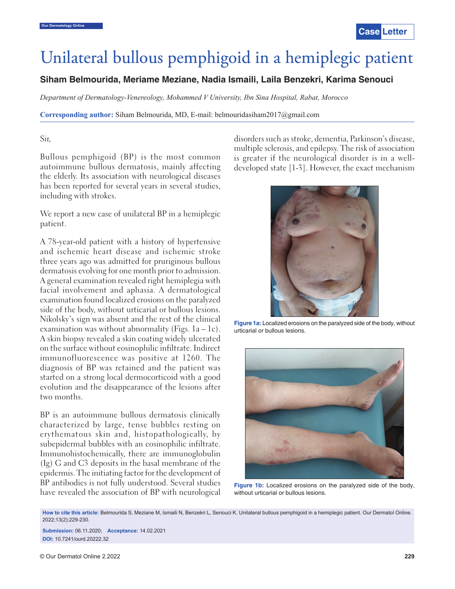# Unilateral bullous pemphigoid in a hemiplegic patient

**Siham Belmourida, Meriame Meziane, Nadia Ismaili, Laila Benzekri, Karima Senouci**

*Department of Dermatology-Venereology, Mohammed V University, Ibn Sina Hospital, Rabat, Morocco*

**Corresponding author:** Siham Belmourida, MD, E-mail: belmouridasiham2017@gmail.com

## Sir,

Bullous pemphigoid (BP) is the most common autoimmune bullous dermatosis, mainly affecting the elderly. Its association with neurological diseases has been reported for several years in several studies, including with strokes.

We report a new case of unilateral BP in a hemiplegic patient.

A 78-year-old patient with a history of hypertensive and ischemic heart disease and ischemic stroke three years ago was admitted for pruriginous bullous dermatosis evolving for one month prior to admission. A general examination revealed right hemiplegia with facial involvement and aphasia. A dermatological examination found localized erosions on the paralyzed side of the body, without urticarial or bullous lesions. Nikolsky's sign was absent and the rest of the clinical examination was without abnormality (Figs.  $1a - 1c$ ). A skin biopsy revealed a skin coating widely ulcerated on the surface without eosinophilic infiltrate. Indirect immunofluorescence was positive at 1260. The diagnosis of BP was retained and the patient was started on a strong local dermocorticoid with a good evolution and the disappearance of the lesions after two months.

BP is an autoimmune bullous dermatosis clinically characterized by large, tense bubbles resting on erythematous skin and, histopathologically, by subepidermal bubbles with an eosinophilic infiltrate. Immunohistochemically, there are immunoglobulin (Ig) G and C3 deposits in the basal membrane of the epidermis. The initiating factor for the development of BP antibodies is not fully understood. Several studies have revealed the association of BP with neurological disorders such as stroke, dementia, Parkinson's disease, multiple sclerosis, and epilepsy. The risk of association is greater if the neurological disorder is in a welldeveloped state [1-3]. However, the exact mechanism



**Figure 1a:** Localized erosions on the paralyzed side of the body, without urticarial or bullous lesions.



**Figure 1b:** Localized erosions on the paralyzed side of the body, without urticarial or bullous lesions.

**How to cite this article:** Belmourida S, Meziane M, Ismaili N, Benzekri L, Senouci K. Unilateral bullous pemphigoid in a hemiplegic patient. Our Dermatol Online. 2022;13(2):229-230.

**Submission:** 06.11.2020; **Acceptance:** 14.02.2021 **DOI:** 10.7241/ourd.20222.32